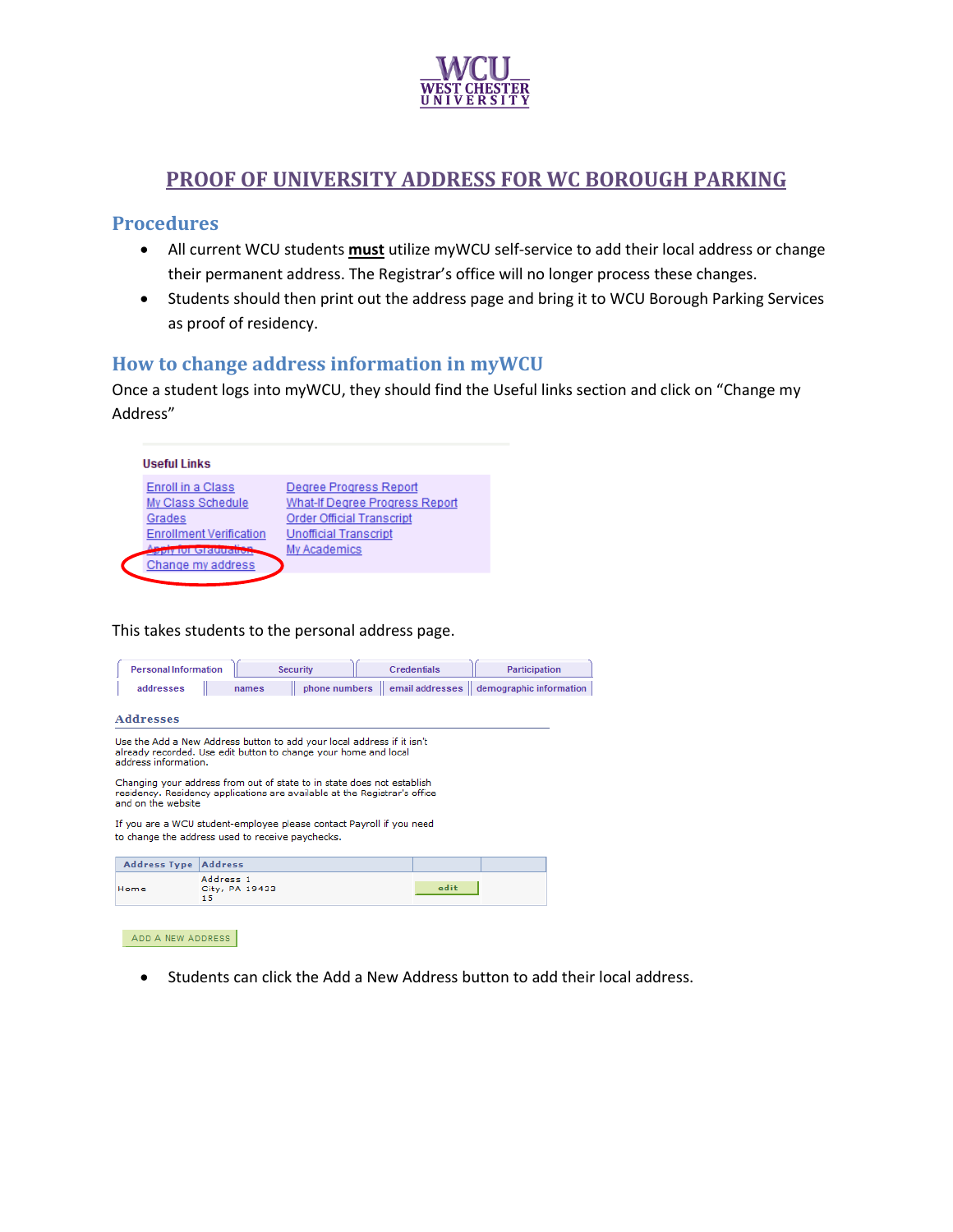

# **PROOF OF UNIVERSITY ADDRESS FOR WC BOROUGH PARKING**

#### **Procedures**

- All current WCU students **must** utilize myWCU self-service to add their local address or change their permanent address. The Registrar's office will no longer process these changes.
- Students should then print out the address page and bring it to WCU Borough Parking Services as proof of residency.

### **How to change address information in myWCU**

Once a student logs into myWCU, they should find the Useful links section and click on "Change my Address"

| Useful Links                   |                                  |
|--------------------------------|----------------------------------|
| Enroll in a Class              | Degree Progress Report           |
| My Class Schedule              | What-If Degree Progress Report   |
| Grades                         | <b>Order Official Transcript</b> |
| <b>Enrollment Verification</b> | <b>Unofficial Transcript</b>     |
| <b>GRUNAN</b>                  | My Academics                     |
| Change my address              |                                  |

This takes students to the personal address page.

| <b>Personal Information</b>                                                                                                                                                |                                   | <b>Security</b> | <b>Credentials</b>                                        | <b>Participation</b> |  |
|----------------------------------------------------------------------------------------------------------------------------------------------------------------------------|-----------------------------------|-----------------|-----------------------------------------------------------|----------------------|--|
| addresses                                                                                                                                                                  | names                             |                 | phone numbers   email addresses   demographic information |                      |  |
| <b>Addresses</b>                                                                                                                                                           |                                   |                 |                                                           |                      |  |
| Use the Add a New Address button to add your local address if it isn't<br>already recorded. Use edit button to change your home and local<br>address information.          |                                   |                 |                                                           |                      |  |
| Changing your address from out of state to in state does not establish<br>residency. Residency applications are available at the Registrar's office<br>and on the website. |                                   |                 |                                                           |                      |  |
| If you are a WCU student-employee please contact Payroll if you need<br>to change the address used to receive paychecks.                                                   |                                   |                 |                                                           |                      |  |
| <b>Address Type</b>                                                                                                                                                        | <b>Address</b>                    |                 |                                                           |                      |  |
| Home                                                                                                                                                                       | Address 1<br>City, PA 19433<br>15 |                 | edit                                                      |                      |  |

ADD A NEW ADDRESS

Students can click the Add a New Address button to add their local address.